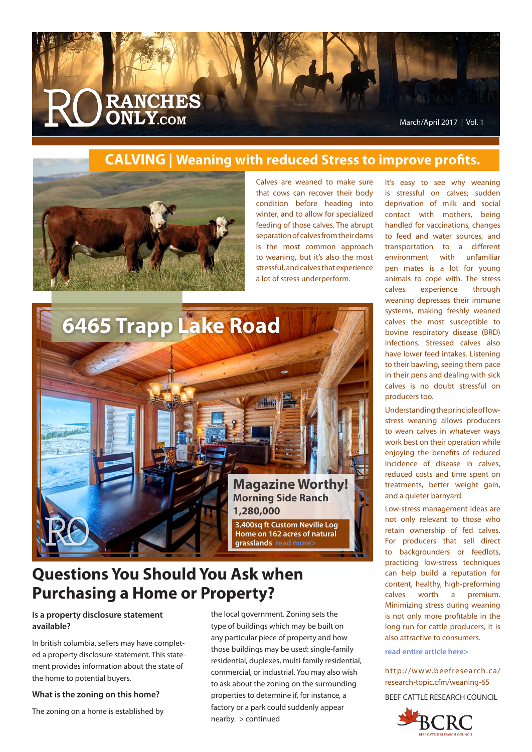

### **CALVING | Weaning with reduced Stress to improve profits.**



Calves are weaned to make sure that cows can recover their body condition before heading into winter, and to allow for specialized feeding of those calves. The abrupt separation of calves from their dams is the most common approach to weaning, but it's also the most stressful, and calves that experience a lot of stress underperform.



# **Questions You Should You Ask when Purchasing a Home or Property?**

#### **Is a property disclosure statement available?**

In british columbia, sellers may have completed a property disclosure statement. This statement provides information about the state of the home to potential buyers.

#### **What is the zoning on this home?**

The zoning on a home is established by

the local government. Zoning sets the type of buildings which may be built on any particular piece of property and how those buildings may be used: single-family residential, duplexes, multi-family residential, commercial, or industrial. You may also wish to ask about the zoning on the surrounding properties to determine if, for instance, a factory or a park could suddenly appear nearby. > continued

It's easy to see why weaning is stressful on calves; sudden deprivation of milk and social contact with mothers, being handled for vaccinations, changes to feed and water sources, and transportation to a different environment with unfamiliar pen mates is a lot for young animals to cope with. The stress calves experience through weaning depresses their immune systems, making freshly weaned calves the most susceptible to bovine respiratory disease (BRD) infections. Stressed calves also have lower feed intakes. Listening to their bawling, seeing them pace in their pens and dealing with sick calves is no doubt stressful on producers too.

Understanding the principle of lowstress weaning allows producers to wean calves in whatever ways work best on their operation while enjoying the benefits of reduced incidence of disease in calves, reduced costs and time spent on treatments, better weight gain, and a quieter barnyard.

Low-stress management ideas are not only relevant to those who retain ownership of fed calves. For producers that sell direct to backgrounders or feedlots, practicing low-stress techniques can help build a reputation for content, healthy, high-preforming calves worth a premium. Minimizing stress during weaning is not only more profitable in the long-run for cattle producers, it is also attractive to consumers.

**read entire article here>**

http://www.beefresearch.ca/ research-topic.cfm/weaning-65

BEEF CATTLE RESEARCH COUNCIL